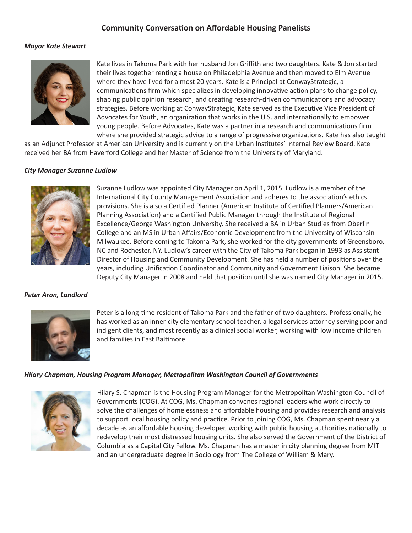# **Community Conversation on Affordable Housing Panelists**

### *Mayor Kate Stewart*



Kate lives in Takoma Park with her husband Jon Griffith and two daughters. Kate & Jon started their lives together renting a house on Philadelphia Avenue and then moved to Elm Avenue where they have lived for almost 20 years. Kate is a Principal at ConwayStrategic, a communications firm which specializes in developing innovative action plans to change policy, shaping public opinion research, and creating research-driven communications and advocacy strategies. Before working at ConwayStrategic, Kate served as the Executive Vice President of Advocates for Youth, an organization that works in the U.S. and internationally to empower young people. Before Advocates, Kate was a partner in a research and communications firm where she provided strategic advice to a range of progressive organizations. Kate has also taught

as an Adjunct Professor at American University and is currently on the Urban Institutes' Internal Review Board. Kate received her BA from Haverford College and her Master of Science from the University of Maryland.

#### *City Manager Suzanne Ludlow*



Suzanne Ludlow was appointed City Manager on April 1, 2015. Ludlow is a member of the International City County Management Association and adheres to the association's ethics provisions. She is also a Certified Planner (American Institute of Certified Planners/American Planning Association) and a Certified Public Manager through the Institute of Regional Excellence/George Washington University. She received a BA in Urban Studies from Oberlin College and an MS in Urban Affairs/Economic Development from the University of Wisconsin-Milwaukee. Before coming to Takoma Park, she worked for the city governments of Greensboro, NC and Rochester, NY. Ludlow's career with the City of Takoma Park began in 1993 as Assistant Director of Housing and Community Development. She has held a number of positions over the years, including Unification Coordinator and Community and Government Liaison. She became Deputy City Manager in 2008 and held that position until she was named City Manager in 2015.

#### *Peter Aron, Landlord*



Peter is a long-time resident of Takoma Park and the father of two daughters. Professionally, he has worked as an inner-city elementary school teacher, a legal services attorney serving poor and indigent clients, and most recently as a clinical social worker, working with low income children and families in East Baltimore.

#### *Hilary Chapman, Housing Program Manager, Metropolitan Washington Council of Governments*



Hilary S. Chapman is the Housing Program Manager for the Metropolitan Washington Council of Governments (COG). At COG, Ms. Chapman convenes regional leaders who work directly to solve the challenges of homelessness and affordable housing and provides research and analysis to support local housing policy and practice. Prior to joining COG, Ms. Chapman spent nearly a decade as an affordable housing developer, working with public housing authorities nationally to redevelop their most distressed housing units. She also served the Government of the District of Columbia as a Capital City Fellow. Ms. Chapman has a master in city planning degree from MIT and an undergraduate degree in Sociology from The College of William & Mary.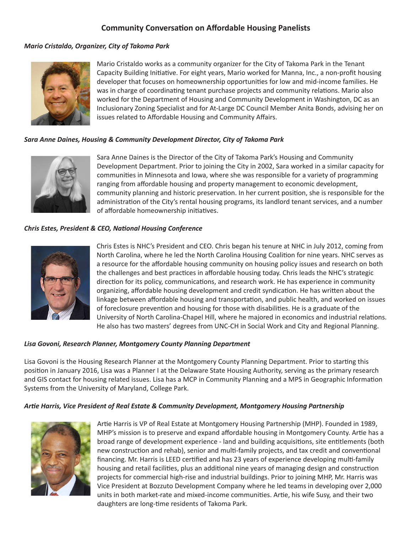# **Community Conversation on Affordable Housing Panelists**

# *Mario Cristaldo, Organizer, City of Takoma Park*



Mario Cristaldo works as a community organizer for the City of Takoma Park in the Tenant Capacity Building Initiative. For eight years, Mario worked for Manna, Inc., a non-profit housing developer that focuses on homeownership opportunities for low and mid-income families. He was in charge of coordinating tenant purchase projects and community relations. Mario also worked for the Department of Housing and Community Development in Washington, DC as an Inclusionary Zoning Specialist and for At-Large DC Council Member Anita Bonds, advising her on issues related to Affordable Housing and Community Affairs.

# *Sara Anne Daines, Housing & Community Development Director, City of Takoma Park*



Sara Anne Daines is the Director of the City of Takoma Park's Housing and Community Development Department. Prior to joining the City in 2002, Sara worked in a similar capacity for communities in Minnesota and Iowa, where she was responsible for a variety of programming ranging from affordable housing and property management to economic development, community planning and historic preservation. In her current position, she is responsible for the administration of the City's rental housing programs, its landlord tenant services, and a number of affordable homeownership initiatives.

### *Chris Estes, President & CEO, National Housing Conference*



Chris Estes is NHC's President and CEO. Chris began his tenure at NHC in July 2012, coming from North Carolina, where he led the North Carolina Housing Coalition for nine years. NHC serves as a resource for the affordable housing community on housing policy issues and research on both the challenges and best practices in affordable housing today. Chris leads the NHC's strategic direction for its policy, communications, and research work. He has experience in community organizing, affordable housing development and credit syndication. He has written about the linkage between affordable housing and transportation, and public health, and worked on issues of foreclosure prevention and housing for those with disabilities. He is a graduate of the University of North Carolina-Chapel Hill, where he majored in economics and industrial relations. He also has two masters' degrees from UNC-CH in Social Work and City and Regional Planning.

### *Lisa Govoni, Research Planner, Montgomery County Planning Department*

Lisa Govoni is the Housing Research Planner at the Montgomery County Planning Department. Prior to starting this position in January 2016, Lisa was a Planner I at the Delaware State Housing Authority, serving as the primary research and GIS contact for housing related issues. Lisa has a MCP in Community Planning and a MPS in Geographic Information Systems from the University of Maryland, College Park.

# *Artie Harris, Vice President of Real Estate & Community Development, Montgomery Housing Partnership*



Artie Harris is VP of Real Estate at Montgomery Housing Partnership (MHP). Founded in 1989, MHP's mission is to preserve and expand affordable housing in Montgomery County. Artie has a broad range of development experience - land and building acquisitions, site entitlements (both new construction and rehab), senior and multi-family projects, and tax credit and conventional financing. Mr. Harris is LEED certified and has 23 years of experience developing multi-family housing and retail facilities, plus an additional nine years of managing design and construction projects for commercial high-rise and industrial buildings. Prior to joining MHP, Mr. Harris was Vice President at Bozzuto Development Company where he led teams in developing over 2,000 units in both market-rate and mixed-income communities. Artie, his wife Susy, and their two daughters are long-time residents of Takoma Park.